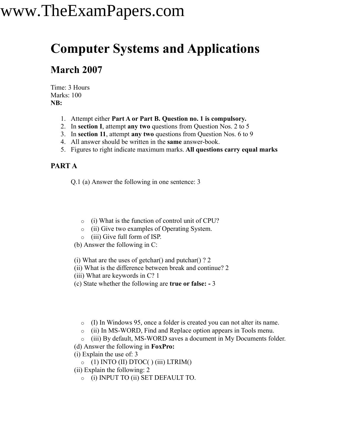### **Computer Systems and Applications**

### **March 2007**

Time: 3 Hours Marks: 100 **NB:**

- 1. Attempt either **Part A or Part B. Question no. 1 is compulsory.**
- 2. In **section I**, attempt **any two** questions from Question Nos. 2 to 5
- 3. In **section 11**, attempt **any two** questions from Question Nos. 6 to 9
- 4. All answer should be written in the **same** answer-book.
- 5. Figures to right indicate maximum marks. **All questions carry equal marks**

#### **PART A**

Q.1 (a) Answer the following in one sentence: 3

- o (i) What is the function of control unit of CPU?
- o (ii) Give two examples of Operating System.
- o (iii) Give full form of ISP.
- (b) Answer the following in C:
- (i) What are the uses of getchar() and putchar() ? 2
- (ii) What is the difference between break and continue? 2
- (iii) What are keywords in C? 1
- (c) State whether the following are **true or false: -** 3
	- o (I) In Windows 95, once a folder is created you can not alter its name.
	- o (ii) In MS-WORD, Find and Replace option appears in Tools menu.
	- o (iii) By default, MS-WORD saves a document in My Documents folder.
- (d) Answer the following in **FoxPro:**
- (i) Explain the use of: 3
	- $\circ$  (1) INTO (II) DTOC( ) (iii) LTRIM()
- (ii) Explain the following: 2
	- o (i) INPUT TO (ii) SET DEFAULT TO.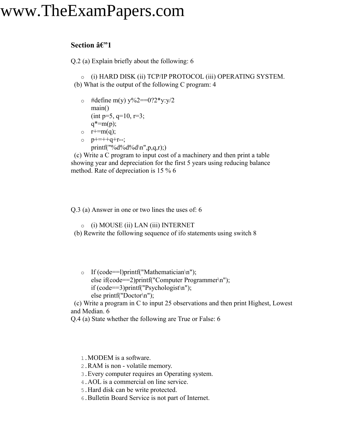#### **Section**  $\hat{a} \in \mathbb{C}$ **<sup>1</sup>**

Q.2 (a) Explain briefly about the following: 6

o (i) HARD DISK (ii) TCP/IP PROTOCOL (iii) OPERATING SYSTEM. (b) What is the output of the following C program: 4

- $\circ$  #define m(y) y%2==0?2\*y:y/2 main()  $(int p=5, q=10, r=3;$  $q^* = m(p)$ ;
- $\circ$  r+=m(q);
- $p+=++q+r-$ ; printf("%d%d%d\n",p,q,r);)

(c) Write a C program to input cost of a machinery and then print a table showing year and depreciation for the first 5 years using reducing balance method. Rate of depreciation is 15 % 6

Q.3 (a) Answer in one or two lines the uses of: 6

o (i) MOUSE (ii) LAN (iii) INTERNET

(b) Rewrite the following sequence of ifo statements using switch 8

o If (code==1)printf("Mathematician\n"); else if(code==2)printf("Computer Programmer\n"); if (code==3)printf("Psychologist\n"); else printf("Doctor\n");

(c) Write a program in C to input 25 observations and then print Highest, Lowest and Median. 6

Q.4 (a) State whether the following are True or False: 6

1.MODEM is a software.

2.RAM is non - volatile memory.

3.Every computer requires an Operating system.

4.AOL is a commercial on line service.

5.Hard disk can be write protected.

6.Bulletin Board Service is not part of Internet.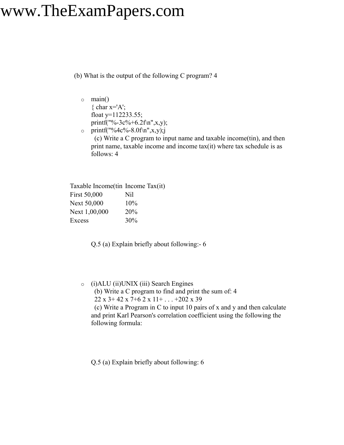(b) What is the output of the following C program? 4

- o main()  $\{ char x = 'A';$ float  $y=112233.55$ ; printf("%-3c%+6.2f\n",x,y);
- $\circ$  printf("%4c%-8.0f\n",x,y);j (c) Write a C program to input name and taxable income(tin), and then print name, taxable income and income tax(it) where tax schedule is as follows: 4

| Taxable Income (tin Income Tax(it) |     |
|------------------------------------|-----|
| First 50,000                       | Nil |
| <b>Next 50,000</b>                 | 10% |
| Next 1,00,000                      | 20% |
| Excess                             | 30% |

Q.5 (a) Explain briefly about following:- 6

o (i)ALU (ii)UNIX (iii) Search Engines

(b) Write a C program to find and print the sum of: 4

22 x 3+ 42 x 7+6 2 x 11+ . . . +202 x 39

(c) Write a Program in C to input 10 pairs of x and y and then calculate and print Karl Pearson's correlation coefficient using the following the following formula:

Q.5 (a) Explain briefly about following: 6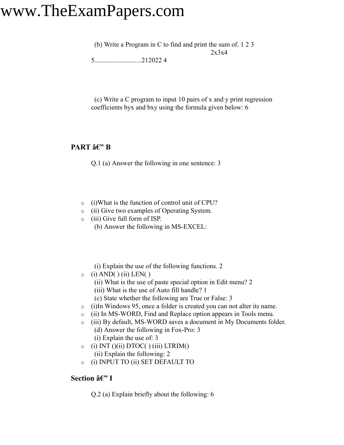(b) Write a Program in C to find and print the sum of. 1 2 3 2x3x4

5............................212022 4

(c) Write a C program to input 10 pairs of x and y print regression coefficients byx and bxy using the formula given below: 6

#### **PART**  $\hat{a} \in \mathcal{C}$ <sup>\*</sup> **B**

Q.1 (a) Answer the following in one sentence: 3

- o (i)What is the function of control unit of CPU?
- o (ii) Give two examples of Operating System.
- o (iii) Give full form of ISP.
	- (b) Answer the following in MS-EXCEL:

(i) Explain the use of the following functions. 2

- $\circ$  (i) AND( ) (ii) LEN( )
	- (ii) What is the use of paste special option in Edit menu? 2
	- (iii) What is the use of Auto fill handle? 1
	- (c) State whether the following are True or False: 3
- o (i)In Windows 95, once a folder is created you can not alter its name.
- o (ii) In MS-WORD, Find and Replace option appears in Tools menu.
- o (iii) By default, MS-WORD saves a document in My Documents folder. (d) Answer the following in Fox-Pro: 3
	- (i) Explain the use of: 3
- $\circ$  (i) INT ()(ii) DTOC( ) (iii) LTRIM() (ii) Explain the following: 2
- o (i) INPUT TO (ii) SET DEFAULT TO

#### **Section â€"** I

Q.2 (a) Explain briefly about the following: 6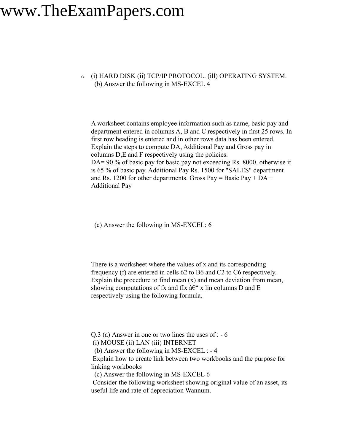o (i) HARD DISK (ii) TCP/IP PROTOCOL. (ill) OPERATING SYSTEM. (b) Answer the following in MS-EXCEL 4

A worksheet contains employee information such as name, basic pay and department entered in columns A, B and C respectively in first 25 rows. In first row heading is entered and in other rows data has been entered. Explain the steps to compute DA, Additional Pay and Gross pay in columns D,E and F respectively using the policies. DA= 90 % of basic pay for basic pay not exceeding Rs. 8000. otherwise it is 65 % of basic pay. Additional Pay Rs. 1500 for "SALES" department and Rs. 1200 for other departments. Gross Pay = Basic Pay +  $DA +$ Additional Pay

(c) Answer the following in MS-EXCEL: 6

There is a worksheet where the values of x and its corresponding frequency (f) are entered in cells 62 to B6 and C2 to C6 respectively. Explain the procedure to find mean  $(x)$  and mean deviation from mean, showing computations of fx and flx  $\hat{a} \in \hat{\mathcal{L}}$  x lin columns D and E respectively using the following formula.

Q.3 (a) Answer in one or two lines the uses of : - 6

(i) MOUSE (ii) LAN (iii) INTERNET

(b) Answer the following in MS-EXCEL : - 4

Explain how to create link between two workbooks and the purpose for linking workbooks

(c) Answer the following in MS-EXCEL 6

Consider the following worksheet showing original value of an asset, its useful life and rate of depreciation Wannum.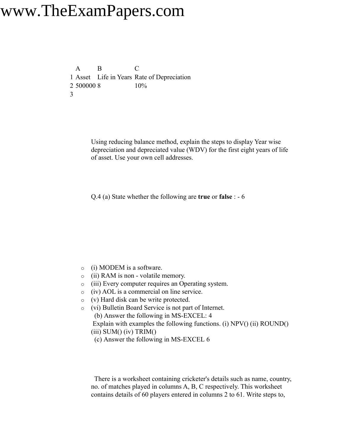A B C 1 Asset Life in Years Rate of Depreciation 2 500000 8 10% 3

> Using reducing balance method, explain the steps to display Year wise depreciation and depreciated value (WDV) for the first eight years of life of asset. Use your own cell addresses.

Q.4 (a) State whether the following are **true** or **false** : - 6

- o (i) MODEM is a software.
- o (ii) RAM is non volatile memory.
- o (iii) Every computer requires an Operating system.
- o (iv) AOL is a commercial on line service.
- o (v) Hard disk can be write protected.
- o (vi) Bulletin Board Service is not part of Internet. (b) Answer the following in MS-EXCEL: 4 Explain with examples the following functions. (i) NPV() (ii) ROUND()  $(iii)$  SUM $(jiv)$  TRIM $(j)$ (c) Answer the following in MS-EXCEL 6

There is a worksheet containing cricketer's details such as name, country, no. of matches played in columns A, B, C respectively. This worksheet contains details of 60 players entered in columns 2 to 61. Write steps to,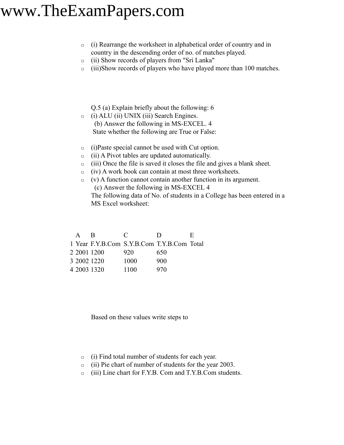- o (i) Rearrange the worksheet in alphabetical order of country and in country in the descending order of no. of matches played.
- o (ii) Show records of players from "Sri Lanka"
- o (iii)Show records of players who have played more than 100 matches.

Q.5 (a) Explain briefly about the following: 6

- o (i) ALU (ii) UNIX (iii) Search Engines. (b) Answer the following in MS-EXCEL. 4 State whether the following are True or False:
- o (i)Paste special cannot be used with Cut option.
- o (ii) A Pivot tables are updated automatically.
- o (iii) Once the file is saved it closes the file and gives a blank sheet.
- o (iv) A work book can contain at most three worksheets.
- o (v) A function cannot contain another function in its argument. (c) Answer the following in MS-EXCEL 4 The following data of No. of students in a College has been entered in a MS Excel worksheet:

| $\mathbf{A}$ | R           | $\mathcal{C}$ | $\blacksquare$                             | Ε. |
|--------------|-------------|---------------|--------------------------------------------|----|
|              |             |               | 1 Year F.Y.B.Com S.Y.B.Com T.Y.B.Com Total |    |
|              | 2 2001 1200 | 920           | 650                                        |    |
|              | 3 2002 1220 | 1000          | 900                                        |    |
|              | 4 2003 1320 | 1100          | 970                                        |    |

Based on these values write steps to

- o (i) Find total number of students for each year.
- o (ii) Pie chart of number of students for the year 2003.
- o (iii) Line chart for F.Y.B. Com and T.Y.B.Com students.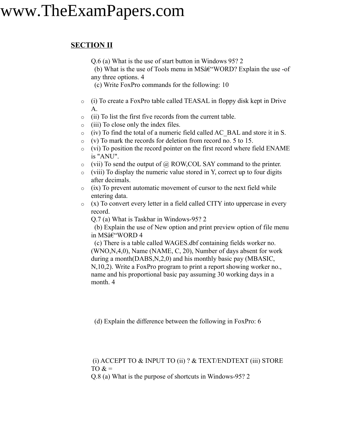#### **SECTION II**

Q.6 (a) What is the use of start button in Windows 95? 2

(b) What is the use of Tools menu in MS $\hat{a} \in WORD$ ? Explain the use -of any three options. 4

(c) Write FoxPro commands for the following: 10

- o (i) To create a FoxPro table called TEASAL in floppy disk kept in Drive A.
- o (ii) To list the first five records from the current table.
- o (iii) To close only the index files.
- o (iv) To find the total of a numeric field called AC\_BAL and store it in S.
- o (v) To mark the records for deletion from record no. 5 to 15.
- o (vi) To position the record pointer on the first record where field ENAME is "ANU".
- $\circ$  (vii) To send the output of  $\omega$ , ROW, COL SAY command to the printer.
- $\circ$  (viii) To display the numeric value stored in Y, correct up to four digits after decimals.
- $\circ$  (ix) To prevent automatic movement of cursor to the next field while entering data.
- o (x) To convert every letter in a field called CITY into uppercase in every record.

Q.7 (a) What is Taskbar in Windows-95? 2

(b) Explain the use of New option and print preview option of file menu in MS–WORD 4

(c) There is a table called WAGES.dbf containing fields worker no. (WNO,N,4,0), Name (NAME, C, 20), Number of days absent for work during a month(DABS,N,2,0) and his monthly basic pay (MBASIC, N,10,2). Write a FoxPro program to print a report showing worker no., name and his proportional basic pay assuming 30 working days in a month. 4

(d) Explain the difference between the following in FoxPro: 6

#### (i) ACCEPT TO & INPUT TO (ii) ? & TEXT/ENDTEXT (iii) STORE TO  $&=$

Q.8 (a) What is the purpose of shortcuts in Windows-95? 2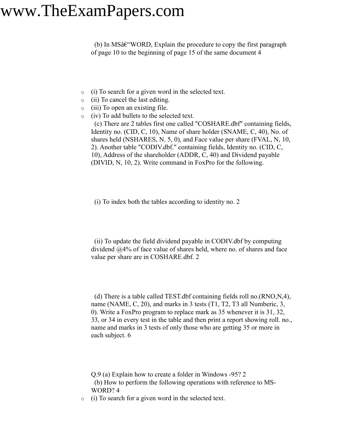$(b)$  In MS $\hat{a} \in WORD$ , Explain the procedure to copy the first paragraph of page 10 to the beginning of page 15 of the same document 4

- o (i) To search for a given word in the selected text.
- o (ii) To cancel the last editing.
- o (iii) To open an existing file.
- o (iv) To add bullets to the selected text.

(c) There are 2 tables first one called "COSHARE.dbf" containing fields, Identity no. (CID, C, 10), Name of share holder (SNAME, C, 40), No. of shares held (NSHARES, N. 5, 0), and Face value per share (FVAL, N, 10, 2). Another table "CODIV.dbf." containing fields, Identity no. (CID, C, 10), Address of the shareholder (ADDR, C, 40) and Dividend payable (DIVID, N, 10, 2). Write command in FoxPro for the following.

(i) To index both the tables according to identity no. 2

(ii) To update the field dividend payable in CODIV.dbf by computing dividend @4% of face value of shares held, where no. of shares and face value per share are in COSHARE.dbf. 2

(d) There is a table called TEST.dbf containing fields roll no.(RNO,N,4), name (NAME, C, 20), and marks in 3 tests (T1, T2, T3 all Numberic, 3, 0). Write a FoxPro program to replace mark as 35 whenever it is 31, 32, 33, or 34 in every test in the table and then print a report showing roll. no., name and marks in 3 tests of only those who are getting 35 or more in each subject. 6

Q.9 (a) Explain how to create a folder in Windows -95? 2

(b) How to perform the following operations with reference to MS-WORD? 4

o (i) To search for a given word in the selected text.